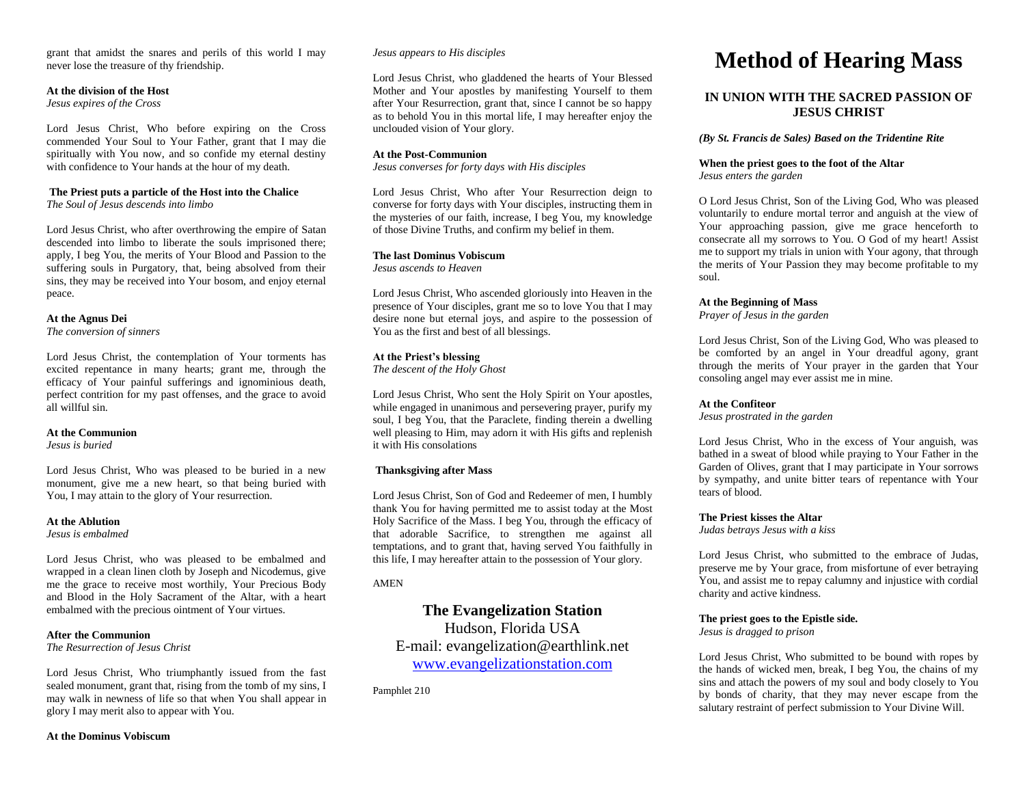grant that amidst the snares and perils of this world I may never lose the treasure of thy friendship.

#### **At the division of the Host**

*Jesus expires of the Cross*

Lord Jesus Christ, Who before expiring on the Cross commended Your Soul to Your Father, grant that I may die spiritually with You now, and so confide my eternal destiny with confidence to Your hands at the hour of my death.

#### **The Priest puts a particle of the Host into the Chalice**

*The Soul of Jesus descends into limbo*

Lord Jesus Christ, who after overthrowing the empire of Satan descended into limbo to liberate the souls imprisoned there; apply, I beg You, the merits of Your Blood and Passion to the suffering souls in Purgatory, that, being absolved from their sins, they may be received into Your bosom, and enjoy eternal peace.

**At the Agnus Dei**

*The conversion of sinners*

Lord Jesus Christ, the contemplation of Your torments has excited repentance in many hearts; grant me, through the efficacy of Your painful sufferings and ignominious death, perfect contrition for my past offenses, and the grace to avoid all willful sin.

#### **At the Communion**

*Jesus is buried*

Lord Jesus Christ, Who was pleased to be buried in a new monument, give me a new heart, so that being buried with You, I may attain to the glory of Your resurrection.

#### **At the Ablution**

*Jesus is embalmed*

Lord Jesus Christ, who was pleased to be embalmed and wrapped in a clean linen cloth by Joseph and Nicodemus, give me the grace to receive most worthily, Your Precious Body and Blood in the Holy Sacrament of the Altar, with a heart embalmed with the precious ointment of Your virtues.

#### **After the Communion**

*The Resurrection of Jesus Christ*

Lord Jesus Christ, Who triumphantly issued from the fast sealed monument, grant that, rising from the tomb of my sins, I may walk in newness of life so that when You shall appear in glory I may merit also to appear with You.

#### *Jesus appears to His disciples*

Lord Jesus Christ, who gladdened the hearts of Your Blessed Mother and Your apostles by manifesting Yourself to them after Your Resurrection, grant that, since I cannot be so happy as to behold You in this mortal life, I may hereafter enjoy the unclouded vision of Your glory.

#### **At the Post-Communion**

*Jesus converses for forty days with His disciples*

Lord Jesus Christ, Who after Your Resurrection deign to converse for forty days with Your disciples, instructing them in the mysteries of our faith, increase, I beg You, my knowledge of those Divine Truths, and confirm my belief in them.

#### **The last Dominus Vobiscum**

*Jesus ascends to Heaven*

Lord Jesus Christ, Who ascended gloriously into Heaven in the presence of Your disciples, grant me so to love You that I may desire none but eternal joys, and aspire to the possession of You as the first and best of all blessings.

#### **At the Priest's blessing**

*The descent of the Holy Ghost*

Lord Jesus Christ, Who sent the Holy Spirit on Your apostles, while engaged in unanimous and persevering prayer, purify my soul, I beg You, that the Paraclete, finding therein a dwelling well pleasing to Him, may adorn it with His gifts and replenish it with His consolations

#### **Thanksgiving after Mass**

Lord Jesus Christ, Son of God and Redeemer of men, I humbly thank You for having permitted me to assist today at the Most Holy Sacrifice of the Mass. I beg You, through the efficacy of that adorable Sacrifice, to strengthen me against all temptations, and to grant that, having served You faithfully in this life, I may hereafter attain to the possession of Your glory.

#### AMEN

# **The Evangelization Station**

Hudson, Florida USA E-mail: evangelization@earthlink.net [www.evangelizationstation.com](http://www.pjpiisoe.org/)

Pamphlet 210

# **Method of Hearing Mass**

### **IN UNION WITH THE SACRED PASSION OF JESUS CHRIST**

#### *(By St. Francis de Sales) Based on the Tridentine Rite*

# **When the priest goes to the foot of the Altar**

*Jesus enters the garden*

O Lord Jesus Christ, Son of the Living God, Who was pleased voluntarily to endure mortal terror and anguish at the view of Your approaching passion, give me grace henceforth to consecrate all my sorrows to You. O God of my heart! Assist me to support my trials in union with Your agony, that through the merits of Your Passion they may become profitable to my soul.

#### **At the Beginning of Mass**

*Prayer of Jesus in the garden*

Lord Jesus Christ, Son of the Living God, Who was pleased to be comforted by an angel in Your dreadful agony, grant through the merits of Your prayer in the garden that Your consoling angel may ever assist me in mine.

#### **At the Confiteor**

*Jesus prostrated in the garden*

Lord Jesus Christ, Who in the excess of Your anguish, was bathed in a sweat of blood while praying to Your Father in the Garden of Olives, grant that I may participate in Your sorrows by sympathy, and unite bitter tears of repentance with Your tears of blood.

#### **The Priest kisses the Altar**

*Judas betrays Jesus with a kiss*

Lord Jesus Christ, who submitted to the embrace of Judas, preserve me by Your grace, from misfortune of ever betraying You, and assist me to repay calumny and injustice with cordial charity and active kindness.

#### **The priest goes to the Epistle side.**

*Jesus is dragged to prison*

Lord Jesus Christ, Who submitted to be bound with ropes by the hands of wicked men, break, I beg You, the chains of my sins and attach the powers of my soul and body closely to You by bonds of charity, that they may never escape from the salutary restraint of perfect submission to Your Divine Will.